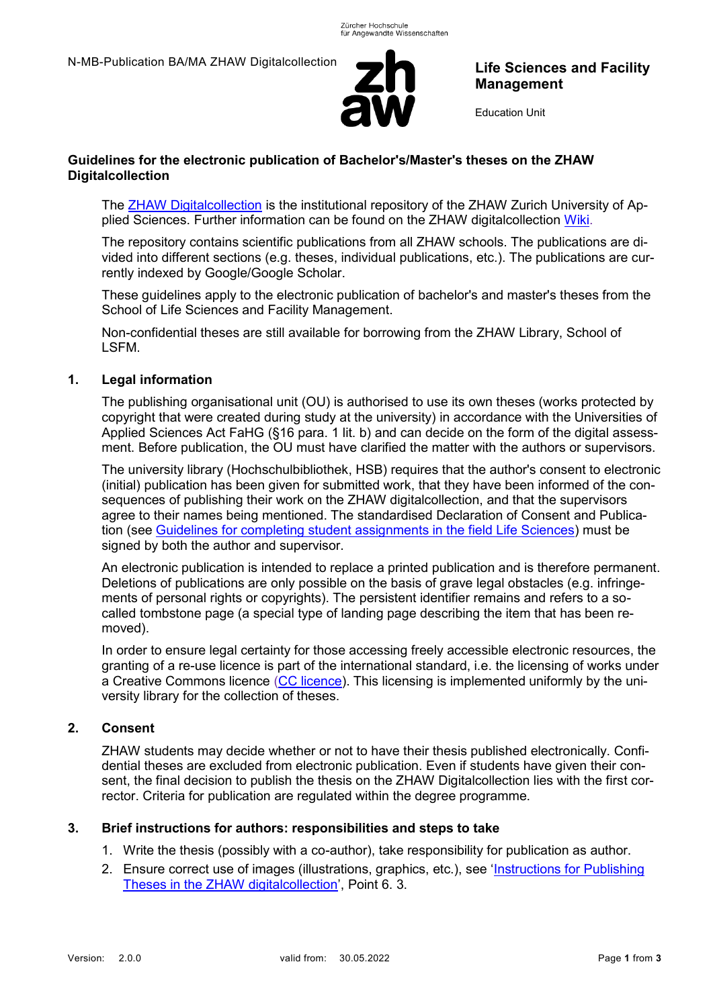

# **Life Sciences and Facility Management**

Education Unit

## **Guidelines for the electronic publication of Bachelor's/Master's theses on the ZHAW Digitalcollection**

The [ZHAW Digitalcollection](https://digitalcollection.zhaw.ch/) is the institutional repository of the ZHAW Zurich University of Applied Sciences. Further information can be found on the ZHAW digitalcollection [Wiki.](https://appdoc-public.zhaw.ch/index.php/digitalcollection:Inhalt)

The repository contains scientific publications from all ZHAW schools. The publications are divided into different sections (e.g. theses, individual publications, etc.). The publications are currently indexed by Google/Google Scholar.

These guidelines apply to the electronic publication of bachelor's and master's theses from the School of Life Sciences and Facility Management.

Non-confidential theses are still available for borrowing from the ZHAW Library, School of LSFM.

## **1. Legal information**

The publishing organisational unit (OU) is authorised to use its own theses (works protected by copyright that were created during study at the university) in accordance with the Universities of Applied Sciences Act FaHG (§16 para. 1 lit. b) and can decide on the form of the digital assessment. Before publication, the OU must have clarified the matter with the authors or supervisors.

The university library (Hochschulbibliothek, HSB) requires that the author's consent to electronic (initial) publication has been given for submitted work, that they have been informed of the consequences of publishing their work on the ZHAW digitalcollection, and that the supervisors agree to their names being mentioned. The standardised Declaration of Consent and Publication (see [Guidelines for completing student assignments in the field Life Sciences\)](https://gpmpublic.zhaw.ch/GPMDocProdDPublic/Vorgabedokumente_Dept/N_AA_Writing_student_assignments.pdf) must be signed by both the author and supervisor.

An electronic publication is intended to replace a printed publication and is therefore permanent. Deletions of publications are only possible on the basis of grave legal obstacles (e.g. infringements of personal rights or copyrights). The persistent identifier remains and refers to a socalled tombstone page (a special type of landing page describing the item that has been removed).

In order to ensure legal certainty for those accessing freely accessible electronic resources, the granting of a re-use licence is part of the international standard, i.e. the licensing of works under a Creative Commons licence [\(CC licence\)](https://creativecommons.org/choose/). This licensing is implemented uniformly by the university library for the collection of theses.

## **2. Consent**

ZHAW students may decide whether or not to have their thesis published electronically. Confidential theses are excluded from electronic publication. Even if students have given their consent, the final decision to publish the thesis on the ZHAW Digitalcollection lies with the first corrector. Criteria for publication are regulated within the degree programme.

## **3. Brief instructions for authors: responsibilities and steps to take**

- 1. Write the thesis (possibly with a co-author), take responsibility for publication as author.
- 2. Ensure correct use of images (illustrations, graphics, etc.), see 'Instructions for Publishing [Theses in the ZHAW digitalcollection](https://gpmpublic.zhaw.ch/GPMDocProdDPublic/Vorgabedokumente_ZHAW/Z_MB_Merkblatt_Abschlussarbeiten_digitalcollection.pdf)', Point 6. 3.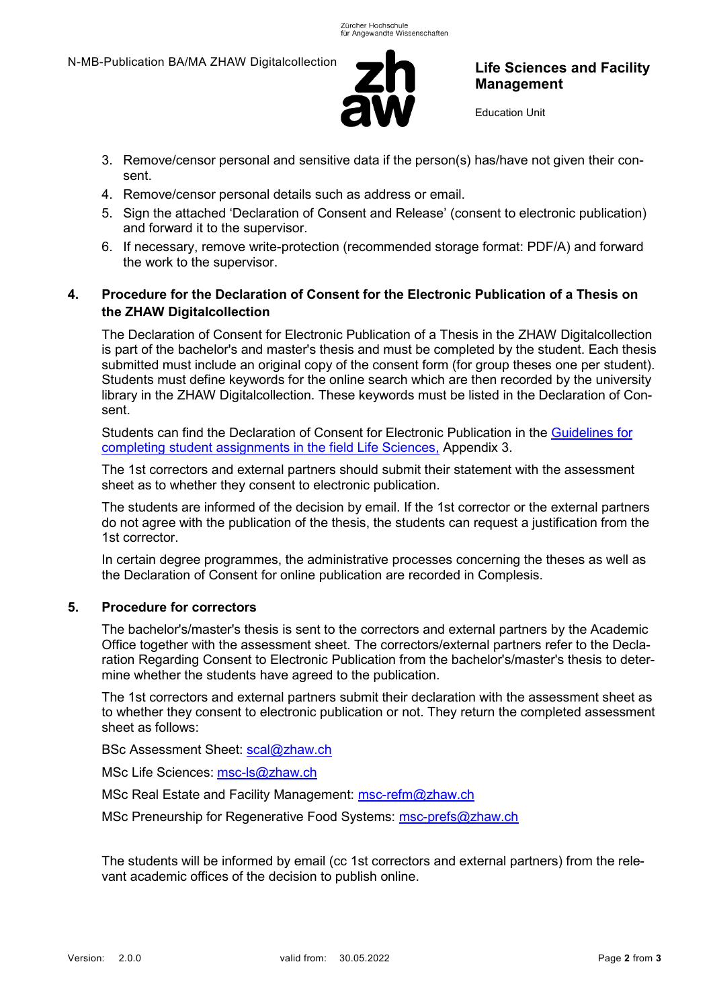

# **Life Sciences and Facility Management**

Education Unit

- 3. Remove/censor personal and sensitive data if the person(s) has/have not given their consent.
- 4. Remove/censor personal details such as address or email.
- 5. Sign the attached 'Declaration of Consent and Release' (consent to electronic publication) and forward it to the supervisor.
- 6. If necessary, remove write-protection (recommended storage format: PDF/A) and forward the work to the supervisor.

## **4. Procedure for the Declaration of Consent for the Electronic Publication of a Thesis on the ZHAW Digitalcollection**

The Declaration of Consent for Electronic Publication of a Thesis in the ZHAW Digitalcollection is part of the bachelor's and master's thesis and must be completed by the student. Each thesis submitted must include an original copy of the consent form (for group theses one per student). Students must define keywords for the online search which are then recorded by the university library in the ZHAW Digitalcollection. These keywords must be listed in the Declaration of Consent.

Students can find the Declaration of Consent for Electronic Publication in the [Guidelines for](https://gpmpublic.zhaw.ch/GPMDocProdDPublic/Vorgabedokumente_Dept/N_AA_Writing_student_assignments.pdf)  [completing student assignments in the field Life Sciences,](https://gpmpublic.zhaw.ch/GPMDocProdDPublic/Vorgabedokumente_Dept/N_AA_Writing_student_assignments.pdf) Appendix 3.

The 1st correctors and external partners should submit their statement with the assessment sheet as to whether they consent to electronic publication.

The students are informed of the decision by email. If the 1st corrector or the external partners do not agree with the publication of the thesis, the students can request a justification from the 1st corrector.

In certain degree programmes, the administrative processes concerning the theses as well as the Declaration of Consent for online publication are recorded in Complesis.

### **5. Procedure for correctors**

The bachelor's/master's thesis is sent to the correctors and external partners by the Academic Office together with the assessment sheet. The correctors/external partners refer to the Declaration Regarding Consent to Electronic Publication from the bachelor's/master's thesis to determine whether the students have agreed to the publication.

The 1st correctors and external partners submit their declaration with the assessment sheet as to whether they consent to electronic publication or not. They return the completed assessment sheet as follows:

BSc Assessment Sheet: [scal@zhaw.ch](mailto:scal@zhaw.ch)

MSc Life Sciences: [msc-ls@zhaw.ch](mailto:msc-ls@zhaw.ch)

MSc Real Estate and Facility Management: [msc-refm@zhaw.ch](mailto:msc-refm@zhaw.ch)

MSc Preneurship for Regenerative Food Systems: [msc-prefs@zhaw.ch](mailto:msc-prefs@zhaw.ch)

The students will be informed by email (cc 1st correctors and external partners) from the relevant academic offices of the decision to publish online.